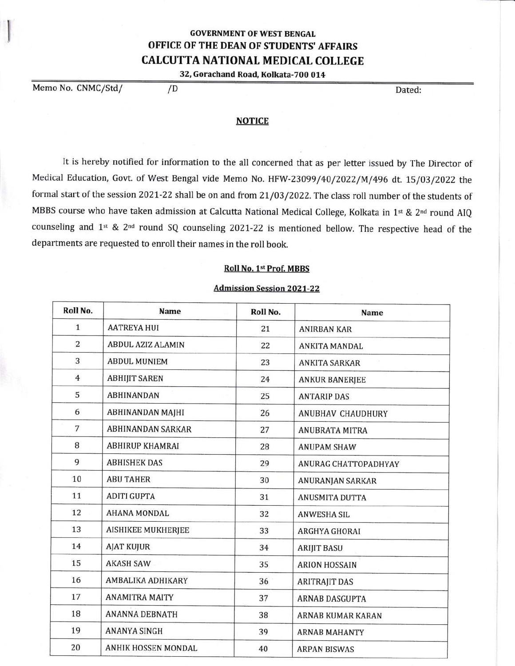## GOVERNMENT OF WEST BENGAL OFFICE OF THE DEAN OF STUDENTS'AFFAIRS CALCUTTA NATIONAL MEDICAL COLLEGE

32, Gorachand Road, Kolkata-700 014

Memo No. CNMC/Std/  $/D$ 

I l

## **NOTICE**

It is hereby notified for information to the all concerned that as per letter issued by The Director of Medical Education, Govt. of West Bengal vide Memo No. HFW-23099/40/2022/M/496 dt. LS/03/2022 the formal start of the session 2021-22 shall be on and from 21/03/2022. The class roll number of the students of MBBS course who have taken admission at Calcutta National Medical College, Kolkata in 1st & 2<sup>nd</sup> round AIQ counseling and 1<sup>st</sup> & 2<sup>nd</sup> round SQ counseling 2021-22 is mentioned bellow. The respective head of the departments are requested to enroll their names in the roll book.

## Roll No. 1st Prof. MBBS

## **Admission Session 2021-22**

| Roll No.       | <b>Name</b>               | Roll No. | <b>Name</b>              |
|----------------|---------------------------|----------|--------------------------|
| $\mathbf{1}$   | <b>AATREYA HUI</b>        | 21       | <b>ANIRBAN KAR</b>       |
| $\overline{2}$ | <b>ABDUL AZIZ ALAMIN</b>  | 22       | <b>ANKITA MANDAL</b>     |
| 3              | <b>ABDUL MUNIEM</b>       | 23       | <b>ANKITA SARKAR</b>     |
| $\overline{4}$ | <b>ABHIJIT SAREN</b>      | 24       | <b>ANKUR BANERJEE</b>    |
| 5              | <b>ABHINANDAN</b>         | 25       | <b>ANTARIP DAS</b>       |
| 6              | <b>ABHINANDAN MAJHI</b>   | 26       | <b>ANUBHAV CHAUDHURY</b> |
| $\overline{7}$ | <b>ABHINANDAN SARKAR</b>  | 27       | <b>ANUBRATA MITRA</b>    |
| 8              | <b>ABHIRUP KHAMRAI</b>    | 28       | <b>ANUPAM SHAW</b>       |
| 9              | <b>ABHISHEK DAS</b>       | 29       | ANURAG CHATTOPADHYAY     |
| 10             | <b>ABU TAHER</b>          | 30       | <b>ANURANJAN SARKAR</b>  |
| 11             | <b>ADITI GUPTA</b>        | 31       | <b>ANUSMITA DUTTA</b>    |
| 12             | <b>AHANA MONDAL</b>       | 32       | <b>ANWESHA SIL</b>       |
| 13             | <b>AISHIKEE MUKHERJEE</b> | 33       | ARGHYA GHORAI            |
| 14             | <b>AJAT KUJUR</b>         | 34       | <b>ARIJIT BASU</b>       |
| 15             | <b>AKASH SAW</b>          | 35       | <b>ARION HOSSAIN</b>     |
| 16             | AMBALIKA ADHIKARY         | 36       | <b>ARITRAJIT DAS</b>     |
| 17             | <b>ANAMITRA MAITY</b>     | 37       | <b>ARNAB DASGUPTA</b>    |
| 18             | <b>ANANNA DEBNATH</b>     | 38       | <b>ARNAB KUMAR KARAN</b> |
| 19             | <b>ANANYA SINGH</b>       | 39       | <b>ARNAB MAHANTY</b>     |
| 20             | ANHIK HOSSEN MONDAL       | 40       | <b>ARPAN BISWAS</b>      |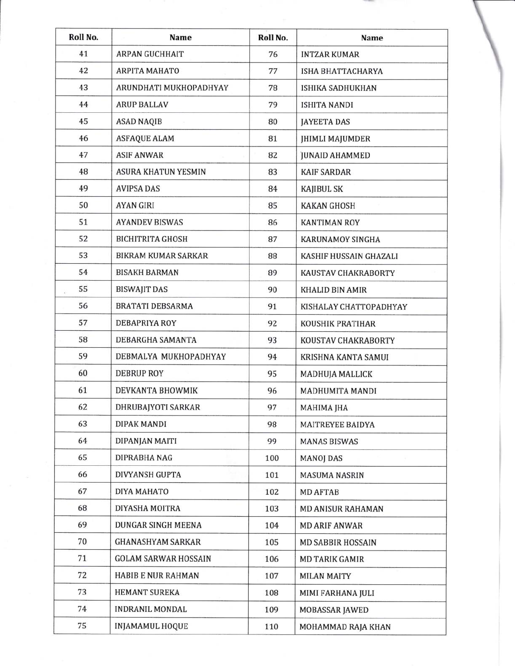| Roll No. | Name                        | Roll No. | Name                       |  |
|----------|-----------------------------|----------|----------------------------|--|
| 41       | <b>ARPAN GUCHHAIT</b>       | 76       | <b>INTZAR KUMAR</b>        |  |
| 42       | <b>ARPITA MAHATO</b>        | 77       | ISHA BHATTACHARYA          |  |
| 43       | ARUNDHATI MUKHOPADHYAY      | 78       | ISHIKA SADHUKHAN           |  |
| 44       | <b>ARUP BALLAV</b>          | 79       | ISHITA NANDI               |  |
| 45       | <b>ASAD NAQIB</b>           | 80       | <b>JAYEETA DAS</b>         |  |
| 46       | <b>ASFAQUE ALAM</b>         | 81       | <b>JHIMLI MAJUMDER</b>     |  |
| 47       | <b>ASIF ANWAR</b>           | 82       | <b>JUNAID AHAMMED</b>      |  |
| 48       | <b>ASURA KHATUN YESMIN</b>  | 83       | <b>KAIF SARDAR</b>         |  |
| 49       | <b>AVIPSA DAS</b>           | 84       | <b>KAJIBUL SK</b>          |  |
| 50       | <b>AYAN GIRI</b>            | 85       | <b>KAKAN GHOSH</b>         |  |
| 51       | <b>AYANDEV BISWAS</b>       | 86       | <b>KANTIMAN ROY</b>        |  |
| 52       | <b>BICHITRITA GHOSH</b>     | 87       | <b>KARUNAMOY SINGHA</b>    |  |
| 53       | <b>BIKRAM KUMAR SARKAR</b>  | 88       | KASHIF HUSSAIN GHAZALI     |  |
| 54       | <b>BISAKH BARMAN</b>        | 89       | KAUSTAV CHAKRABORTY        |  |
| 55       | <b>BISWAJIT DAS</b>         | 90       | KHALID BIN AMIR            |  |
| 56       | <b>BRATATI DEBSARMA</b>     | 91       | KISHALAY CHATTOPADHYAY     |  |
| 57       | <b>DEBAPRIYA ROY</b>        | 92       | KOUSHIK PRATIHAR           |  |
| 58       | DEBARGHA SAMANTA            | 93       | <b>KOUSTAV CHAKRABORTY</b> |  |
| 59       | DEBMALYA MUKHOPADHYAY       | 94       | KRISHNA KANTA SAMUI        |  |
| 60       | <b>DEBRUP ROY</b>           | 95       | MADHUJA MALLICK            |  |
| 61       | DEVKANTA BHOWMIK            | 96       | <b>MADHUMITA MANDI</b>     |  |
| 62       | DHRUBAJYOTI SARKAR          | 97       | MAHIMA JHA                 |  |
| 63       | DIPAK MANDI                 | 98       | <b>MAITREYEE BAIDYA</b>    |  |
| 64       | DIPANJAN MAITI              | 99       | <b>MANAS BISWAS</b>        |  |
| 65       | DIPRABHA NAG                | 100      | <b>MANOJ DAS</b>           |  |
| 66       | <b>DIVYANSH GUPTA</b>       | 101      | <b>MASUMA NASRIN</b>       |  |
| 67       | DIYA MAHATO                 | 102      | <b>MD AFTAB</b>            |  |
| 68       | DIYASHA MOITRA              | 103      | MD ANISUR RAHAMAN          |  |
| 69       | DUNGAR SINGH MEENA          | 104      | <b>MD ARIF ANWAR</b>       |  |
| 70       | <b>GHANASHYAM SARKAR</b>    | 105      | <b>MD SABBIR HOSSAIN</b>   |  |
| 71       | <b>GOLAM SARWAR HOSSAIN</b> | 106      | <b>MD TARIK GAMIR</b>      |  |
| 72       | HABIB E NUR RAHMAN          | 107      | <b>MILAN MAITY</b>         |  |
| 73       | <b>HEMANT SUREKA</b>        | 108      | MIMI FARHANA JULI          |  |
| 74       | <b>INDRANIL MONDAL</b>      | 109      | MOBASSAR JAWED             |  |
| 75       | INJAMAMUL HOQUE             | 110      | MOHAMMAD RAJA KHAN         |  |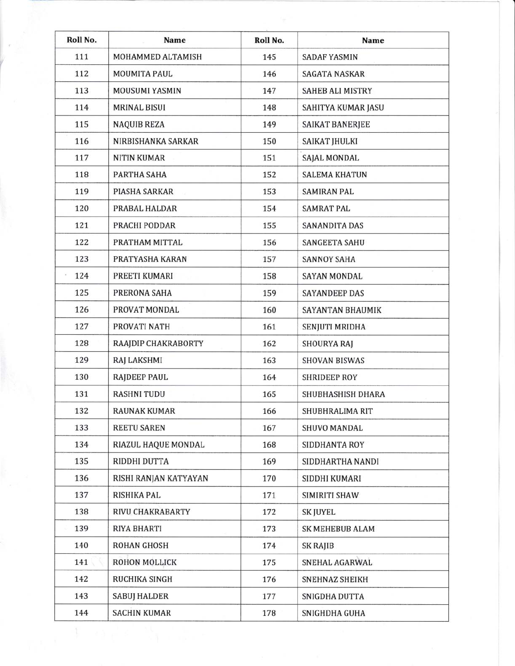| Roll No. | Name                  | Roll No. | <b>Name</b>             |
|----------|-----------------------|----------|-------------------------|
| 111      | MOHAMMED ALTAMISH     | 145      | <b>SADAF YASMIN</b>     |
| 112      | MOUMITA PAUL          | 146      | <b>SAGATA NASKAR</b>    |
| 113      | MOUSUMI YASMIN        | 147      | <b>SAHEB ALI MISTRY</b> |
| 114      | <b>MRINAL BISUI</b>   | 148      | SAHITYA KUMAR JASU      |
| 115      | <b>NAQUIB REZA</b>    | 149      | <b>SAIKAT BANERJEE</b>  |
| 116      | NIRBISHANKA SARKAR    | 150      | <b>SAIKAT JHULKI</b>    |
| 117      | <b>NITIN KUMAR</b>    | 151      | SAJAL MONDAL            |
| 118      | PARTHA SAHA           | 152      | <b>SALEMA KHATUN</b>    |
| 119      | PIASHA SARKAR         | 153      | <b>SAMIRAN PAL</b>      |
| 120      | PRABAL HALDAR         | 154      | <b>SAMRAT PAL</b>       |
| 121      | PRACHI PODDAR         | 155      | <b>SANANDITA DAS</b>    |
| 122      | PRATHAM MITTAL        | 156      | <b>SANGEETA SAHU</b>    |
| 123      | PRATYASHA KARAN       | 157      | <b>SANNOY SAHA</b>      |
| 124      | PREETI KUMARI         | 158      | <b>SAYAN MONDAL</b>     |
| 125      | PRERONA SAHA          | 159      | <b>SAYANDEEP DAS</b>    |
| 126      | PROVAT MONDAL         | 160      | <b>SAYANTAN BHAUMIK</b> |
| 127      | PROVATI NATH          | 161      | <b>SENJUTI MRIDHA</b>   |
| 128      | RAAJDIP CHAKRABORTY   | 162      | <b>SHOURYA RAJ</b>      |
| 129      | RAJ LAKSHMI           | 163      | <b>SHOVAN BISWAS</b>    |
| 130      | <b>RAJDEEP PAUL</b>   | 164      | <b>SHRIDEEP ROY</b>     |
| 131      | <b>RASHNI TUDU</b>    | 165      | SHUBHASHISH DHARA       |
| 132      | <b>RAUNAK KUMAR</b>   | 166      | SHUBHRALIMA RIT         |
| 133      | <b>REETU SAREN</b>    | 167      | SHUVO MANDAL            |
| 134      | RIAZUL HAQUE MONDAL   | 168      | SIDDHANTA ROY           |
| 135      | RIDDHI DUTTA          | 169      | SIDDHARTHA NANDI        |
| 136      | RISHI RANJAN KATYAYAN | 170      | SIDDHI KUMARI           |
| 137      | RISHIKA PAL           | 171      | SIMIRITI SHAW           |
| 138      | RIVU CHAKRABARTY      | 172      | <b>SK JUYEL</b>         |
| 139      | <b>RIYA BHARTI</b>    | 173      | <b>SK MEHEBUB ALAM</b>  |
| 140      | <b>ROHAN GHOSH</b>    | 174      | SK RAJIB                |
| 141      | ROHON MOLLICK         | 175      | SNEHAL AGARWAL          |
| 142      | RUCHIKA SINGH         | 176      | SNEHNAZ SHEIKH          |
| 143      | <b>SABUJ HALDER</b>   | 177      | SNIGDHA DUTTA           |
| 144      | <b>SACHIN KUMAR</b>   | 178      | SNIGHDHA GUHA           |

r